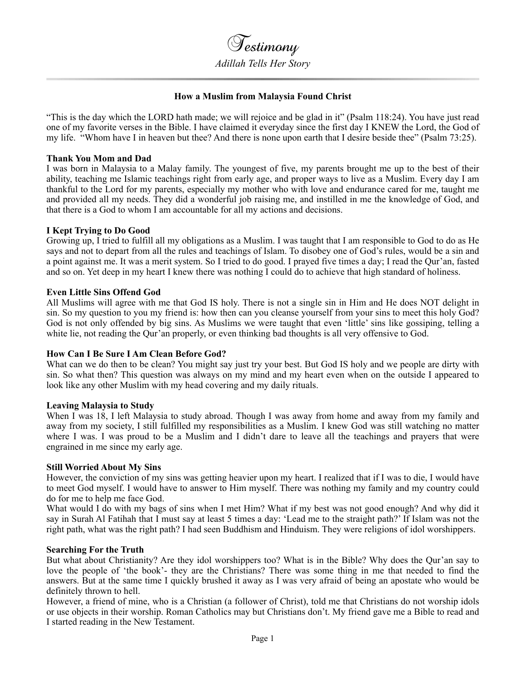

## **How a Muslim from Malaysia Found Christ**

"This is the day which the LORD hath made; we will rejoice and be glad in it" (Psalm 118:24). You have just read one of my favorite verses in the Bible. I have claimed it everyday since the first day I KNEW the Lord, the God of my life. "Whom have I in heaven but thee? And there is none upon earth that I desire beside thee" (Psalm 73:25).

#### **Thank You Mom and Dad**

I was born in Malaysia to a Malay family. The youngest of five, my parents brought me up to the best of their ability, teaching me Islamic teachings right from early age, and proper ways to live as a Muslim. Every day I am thankful to the Lord for my parents, especially my mother who with love and endurance cared for me, taught me and provided all my needs. They did a wonderful job raising me, and instilled in me the knowledge of God, and that there is a God to whom I am accountable for all my actions and decisions.

#### **I Kept Trying to Do Good**

Growing up, I tried to fulfill all my obligations as a Muslim. I was taught that I am responsible to God to do as He says and not to depart from all the rules and teachings of Islam. To disobey one of God's rules, would be a sin and a point against me. It was a merit system. So I tried to do good. I prayed five times a day; I read the Qur'an, fasted and so on. Yet deep in my heart I knew there was nothing I could do to achieve that high standard of holiness.

#### **Even Little Sins Offend God**

All Muslims will agree with me that God IS holy. There is not a single sin in Him and He does NOT delight in sin. So my question to you my friend is: how then can you cleanse yourself from your sins to meet this holy God? God is not only offended by big sins. As Muslims we were taught that even 'little' sins like gossiping, telling a white lie, not reading the Qur'an properly, or even thinking bad thoughts is all very offensive to God.

## **How Can I Be Sure I Am Clean Before God?**

What can we do then to be clean? You might say just try your best. But God IS holy and we people are dirty with sin. So what then? This question was always on my mind and my heart even when on the outside I appeared to look like any other Muslim with my head covering and my daily rituals.

#### **Leaving Malaysia to Study**

When I was 18, I left Malaysia to study abroad. Though I was away from home and away from my family and away from my society, I still fulfilled my responsibilities as a Muslim. I knew God was still watching no matter where I was. I was proud to be a Muslim and I didn't dare to leave all the teachings and prayers that were engrained in me since my early age.

#### **Still Worried About My Sins**

However, the conviction of my sins was getting heavier upon my heart. I realized that if I was to die, I would have to meet God myself. I would have to answer to Him myself. There was nothing my family and my country could do for me to help me face God.

What would I do with my bags of sins when I met Him? What if my best was not good enough? And why did it say in Surah Al Fatihah that I must say at least 5 times a day: 'Lead me to the straight path?' If Islam was not the right path, what was the right path? I had seen Buddhism and Hinduism. They were religions of idol worshippers.

#### **Searching For the Truth**

But what about Christianity? Are they idol worshippers too? What is in the Bible? Why does the Qur'an say to love the people of 'the book'- they are the Christians? There was some thing in me that needed to find the answers. But at the same time I quickly brushed it away as I was very afraid of being an apostate who would be definitely thrown to hell.

However, a friend of mine, who is a Christian (a follower of Christ), told me that Christians do not worship idols or use objects in their worship. Roman Catholics may but Christians don't. My friend gave me a Bible to read and I started reading in the New Testament.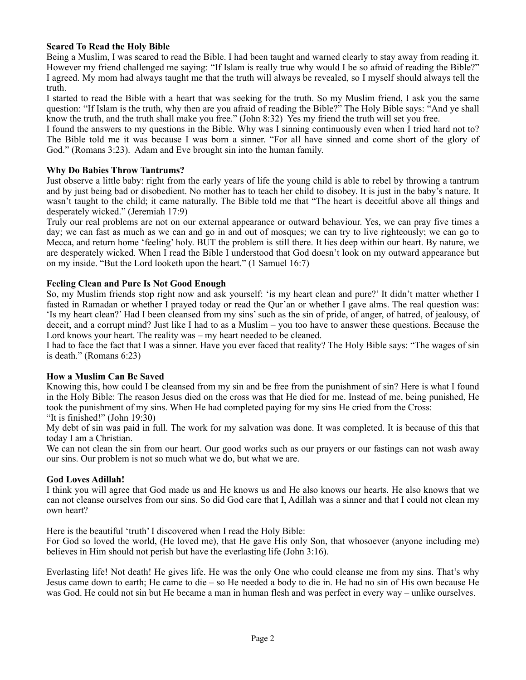# **Scared To Read the Holy Bible**

Being a Muslim, I was scared to read the Bible. I had been taught and warned clearly to stay away from reading it. However my friend challenged me saying: "If Islam is really true why would I be so afraid of reading the Bible?" I agreed. My mom had always taught me that the truth will always be revealed, so I myself should always tell the truth.

I started to read the Bible with a heart that was seeking for the truth. So my Muslim friend, I ask you the same question: "If Islam is the truth, why then are you afraid of reading the Bible?" The Holy Bible says: "And ye shall know the truth, and the truth shall make you free." (John 8:32) Yes my friend the truth will set you free.

I found the answers to my questions in the Bible. Why was I sinning continuously even when I tried hard not to? The Bible told me it was because I was born a sinner. "For all have sinned and come short of the glory of God." (Romans 3:23). Adam and Eve brought sin into the human family.

## **Why Do Babies Throw Tantrums?**

Just observe a little baby: right from the early years of life the young child is able to rebel by throwing a tantrum and by just being bad or disobedient. No mother has to teach her child to disobey. It is just in the baby's nature. It wasn't taught to the child; it came naturally. The Bible told me that "The heart is deceitful above all things and desperately wicked." (Jeremiah 17:9)

Truly our real problems are not on our external appearance or outward behaviour. Yes, we can pray five times a day; we can fast as much as we can and go in and out of mosques; we can try to live righteously; we can go to Mecca, and return home 'feeling' holy. BUT the problem is still there. It lies deep within our heart. By nature, we are desperately wicked. When I read the Bible I understood that God doesn't look on my outward appearance but on my inside. "But the Lord looketh upon the heart." (1 Samuel 16:7)

# **Feeling Clean and Pure Is Not Good Enough**

So, my Muslim friends stop right now and ask yourself: 'is my heart clean and pure?' It didn't matter whether I fasted in Ramadan or whether I prayed today or read the Qur'an or whether I gave alms. The real question was: 'Is my heart clean?' Had I been cleansed from my sins' such as the sin of pride, of anger, of hatred, of jealousy, of deceit, and a corrupt mind? Just like I had to as a Muslim – you too have to answer these questions. Because the Lord knows your heart. The reality was – my heart needed to be cleaned.

I had to face the fact that I was a sinner. Have you ever faced that reality? The Holy Bible says: "The wages of sin is death." (Romans 6:23)

## **How a Muslim Can Be Saved**

Knowing this, how could I be cleansed from my sin and be free from the punishment of sin? Here is what I found in the Holy Bible: The reason Jesus died on the cross was that He died for me. Instead of me, being punished, He took the punishment of my sins. When He had completed paying for my sins He cried from the Cross:

"It is finished!" (John 19:30)

My debt of sin was paid in full. The work for my salvation was done. It was completed. It is because of this that today I am a Christian.

We can not clean the sin from our heart. Our good works such as our prayers or our fastings can not wash away our sins. Our problem is not so much what we do, but what we are.

## **God Loves Adillah!**

I think you will agree that God made us and He knows us and He also knows our hearts. He also knows that we can not cleanse ourselves from our sins. So did God care that I, Adillah was a sinner and that I could not clean my own heart?

Here is the beautiful 'truth' I discovered when I read the Holy Bible:

For God so loved the world, (He loved me), that He gave His only Son, that whosoever (anyone including me) believes in Him should not perish but have the everlasting life (John 3:16).

Everlasting life! Not death! He gives life. He was the only One who could cleanse me from my sins. That's why Jesus came down to earth; He came to die – so He needed a body to die in. He had no sin of His own because He was God. He could not sin but He became a man in human flesh and was perfect in every way – unlike ourselves.